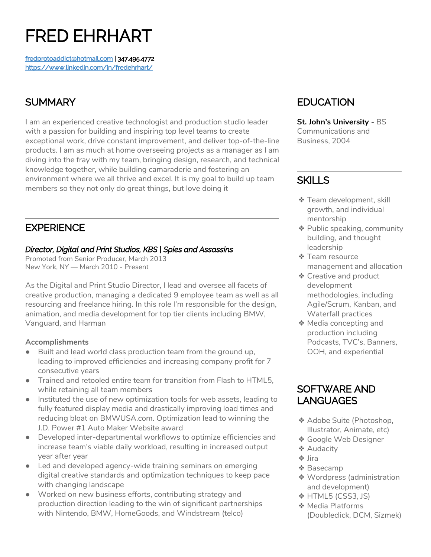# FRED EHRHART

[fredprotoaddict@hotmail.com](mailto:fredprotoaddict@hotmail.com) | 347.495.4772 <https://www.linkedin.com/in/fredehrhart/>

# **SUMMARY**

I am an experienced creative technologist and production studio leader with a passion for building and inspiring top level teams to create exceptional work, drive constant improvement, and deliver top-of-the-line products. I am as much at home overseeing projects as a manager as I am diving into the fray with my team, bringing design, research, and technical knowledge together, while building camaraderie and fostering an environment where we all thrive and excel. It is my goal to build up team members so they not only do great things, but love doing it

# **EXPERIENCE**

## *Director, Digital and Print Studios, KBS | Spies and Assassins*

Promoted from Senior Producer, March 2013 New York, NY — March 2010 - Present

As the Digital and Print Studio Director, I lead and oversee all facets of creative production, managing a dedicated 9 employee team as well as all resourcing and freelance hiring. In this role I'm responsible for the design, animation, and media development for top tier clients including BMW, Vanguard, and Harman

## **Accomplishments**

- Built and lead world class production team from the ground up, leading to improved efficiencies and increasing company profit for 7 consecutive years
- Trained and retooled entire team for transition from Flash to HTML5, while retaining all team members
- Instituted the use of new optimization tools for web assets, leading to fully featured display media and drastically improving load times and reducing bloat on BMWUSA.com. Optimization lead to winning the J.D. Power #1 Auto Maker Website award
- Developed inter-departmental workflows to optimize efficiencies and increase team's viable daily workload, resulting in increased output year after year
- Led and developed agency-wide training seminars on emerging digital creative standards and optimization techniques to keep pace with changing landscape
- Worked on new business efforts, contributing strategy and production direction leading to the win of significant partnerships with Nintendo, BMW, HomeGoods, and Windstream (telco)

# **EDUCATION**

**St. John's University** - BS Communications and Business, 2004

# **SKILLS**

- ❖ Team development, skill growth, and individual mentorship
- ❖ Public speaking, community building, and thought leadership
- ❖ Team resource management and allocation
- ❖ Creative and product development methodologies, including Agile/Scrum, Kanban, and Waterfall practices
- ❖ Media concepting and production including Podcasts, TVC's, Banners, OOH, and experiential

## SOFTWARE AND LANGUAGES

- ❖ Adobe Suite (Photoshop, Illustrator, Animate, etc)
- ❖ Google Web Designer
- ❖ Audacity
- ❖ Jira
- ❖ Basecamp
- ❖ Wordpress (administration and development)
- ❖ HTML5 (CSS3, JS)
- ❖ Media Platforms (Doubleclick, DCM, Sizmek)